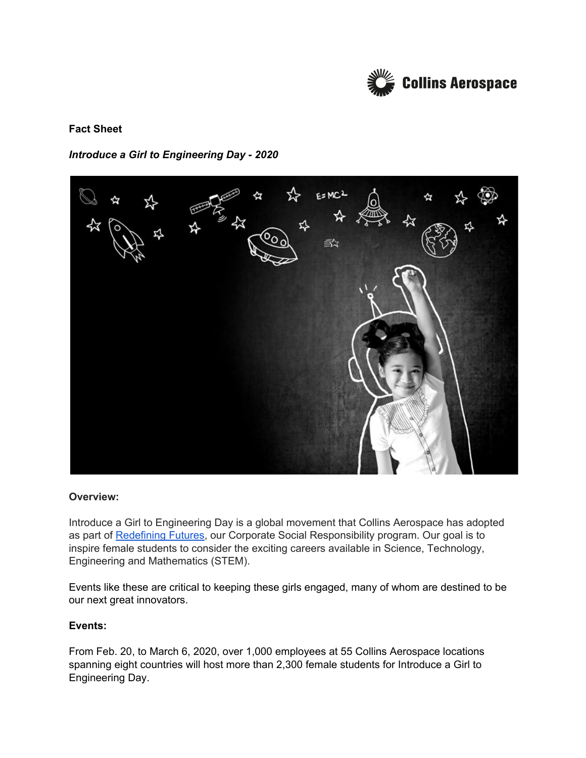

## **Fact Sheet**

## *Introduce a Girl to Engineering Day - 2020*



## **Overview:**

Introduce a Girl to Engineering Day is a global movement that Collins Aerospace has adopted as part of [Redefining](https://www.collinsaerospace.com/who-we-are/redefining-futures) Futures, our Corporate Social Responsibility program. Our goal is to inspire female students to consider the exciting careers available in Science, Technology, Engineering and Mathematics (STEM).

Events like these are critical to keeping these girls engaged, many of whom are destined to be our next great innovators.

## **Events:**

From Feb. 20, to March 6, 2020, over 1,000 employees at 55 Collins Aerospace locations spanning eight countries will host more than 2,300 female students for Introduce a Girl to Engineering Day.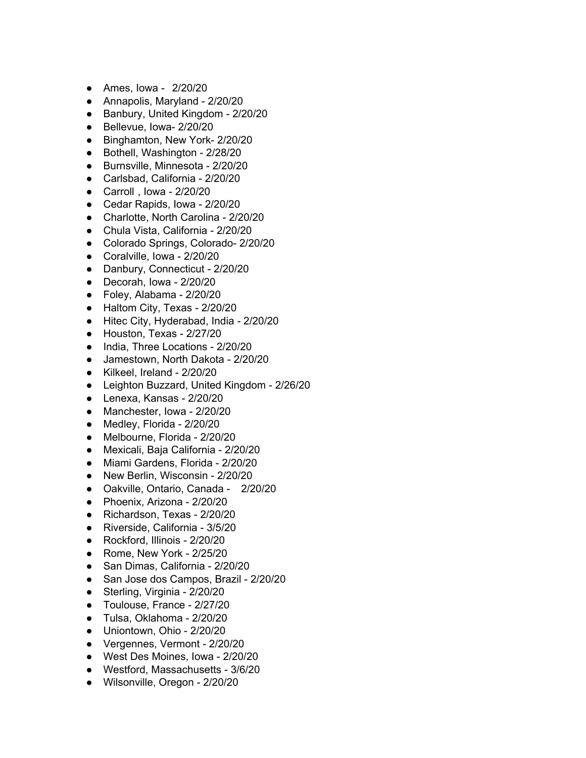- Ames, Iowa 2/20/20
- Annapolis, Maryland 2/20/20
- Banbury, United Kingdom 2/20/20
- Bellevue, Iowa- 2/20/20
- Binghamton, New York- 2/20/20
- Bothell, Washington 2/28/20
- Burnsville, Minnesota 2/20/20
- Carlsbad, California 2/20/20
- Carroll , Iowa 2/20/20
- Cedar Rapids, Iowa 2/20/20
- Charlotte, North Carolina 2/20/20
- Chula Vista, California 2/20/20
- Colorado Springs, Colorado- 2/20/20
- Coralville, Iowa 2/20/20
- Danbury, Connecticut 2/20/20
- $\bullet$  Decorah, Iowa 2/20/20
- $\bullet$  Foley, Alabama 2/20/20
- Haltom City, Texas 2/20/20
- Hitec City, Hyderabad, India 2/20/20
- Houston, Texas 2/27/20
- India, Three Locations 2/20/20
- Jamestown, North Dakota 2/20/20
- Kilkeel, Ireland 2/20/20
- Leighton Buzzard, United Kingdom 2/26/20
- Lenexa, Kansas 2/20/20
- Manchester, Iowa 2/20/20
- Medley, Florida 2/20/20
- Melbourne, Florida 2/20/20
- Mexicali, Baja California 2/20/20
- Miami Gardens, Florida 2/20/20
- New Berlin, Wisconsin 2/20/20
- Oakville, Ontario, Canada 2/20/20
- Phoenix, Arizona 2/20/20
- Richardson, Texas 2/20/20
- Riverside, California 3/5/20
- Rockford, Illinois 2/20/20
- Rome, New York 2/25/20
- San Dimas, California 2/20/20
- San Jose dos Campos, Brazil 2/20/20
- Sterling, Virginia 2/20/20
- Toulouse, France 2/27/20
- Tulsa, Oklahoma 2/20/20
- Uniontown, Ohio 2/20/20
- Vergennes, Vermont 2/20/20
- West Des Moines, Iowa 2/20/20
- Westford, Massachusetts 3/6/20
- Wilsonville, Oregon 2/20/20